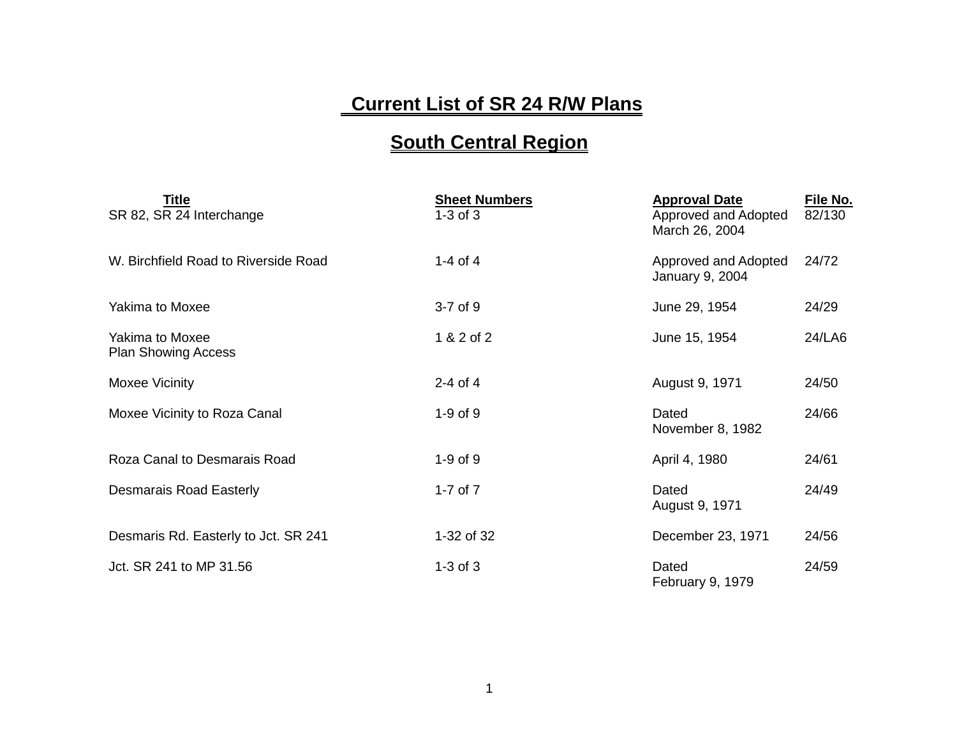## **Current List of SR 24 R/W Plans**

## **South Central Region**

| Title<br>SR 82, SR 24 Interchange                    | <b>Sheet Numbers</b><br>$1-3$ of $3$ | <b>Approval Date</b><br>Approved and Adopted<br>March 26, 2004 | File No.<br>82/130 |
|------------------------------------------------------|--------------------------------------|----------------------------------------------------------------|--------------------|
| W. Birchfield Road to Riverside Road                 | 1-4 of 4                             | Approved and Adopted<br>January 9, 2004                        | 24/72              |
| <b>Yakima to Moxee</b>                               | $3-7$ of $9$                         | June 29, 1954                                                  | 24/29              |
| <b>Yakima to Moxee</b><br><b>Plan Showing Access</b> | 1 & 2 of 2                           | June 15, 1954                                                  | 24/LA6             |
| Moxee Vicinity                                       | $2-4$ of 4                           | August 9, 1971                                                 | 24/50              |
| Moxee Vicinity to Roza Canal                         | $1-9$ of $9$                         | Dated<br>November 8, 1982                                      | 24/66              |
| Roza Canal to Desmarais Road                         | $1-9$ of $9$                         | April 4, 1980                                                  | 24/61              |
| <b>Desmarais Road Easterly</b>                       | 1-7 of $7$                           | Dated<br>August 9, 1971                                        | 24/49              |
| Desmaris Rd. Easterly to Jct. SR 241                 | 1-32 of 32                           | December 23, 1971                                              | 24/56              |
| Jct. SR 241 to MP 31.56                              | $1-3$ of $3$                         | Dated<br>February 9, 1979                                      | 24/59              |